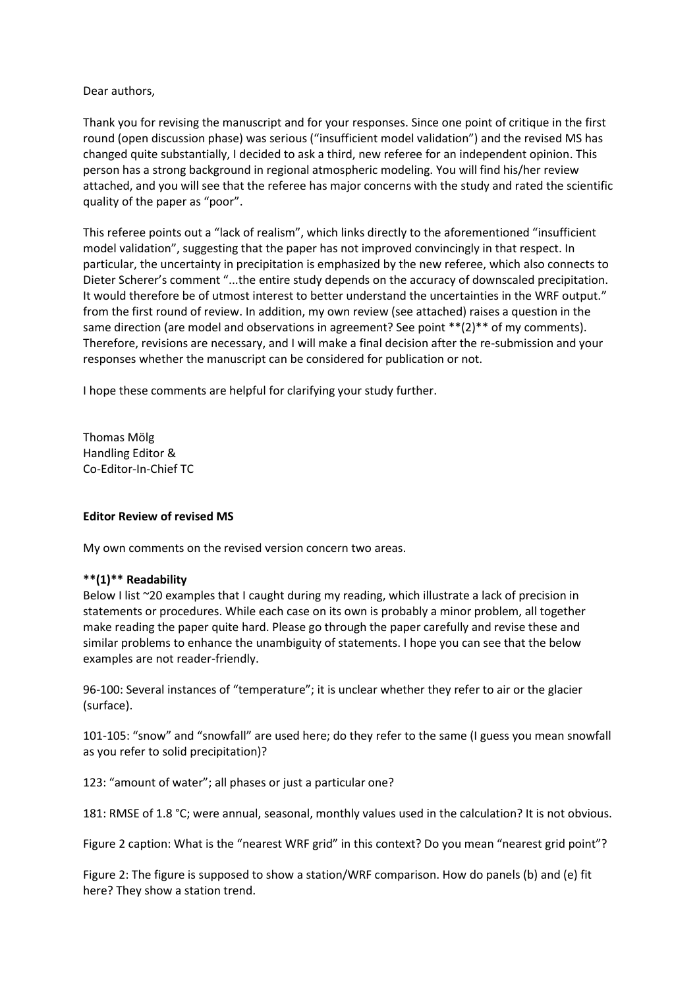# Dear authors,

Thank you for revising the manuscript and for your responses. Since one point of critique in the first round (open discussion phase) was serious ("insufficient model validation") and the revised MS has changed quite substantially, I decided to ask a third, new referee for an independent opinion. This person has a strong background in regional atmospheric modeling. You will find his/her review attached, and you will see that the referee has major concerns with the study and rated the scientific quality of the paper as "poor".

This referee points out a "lack of realism", which links directly to the aforementioned "insufficient model validation", suggesting that the paper has not improved convincingly in that respect. In particular, the uncertainty in precipitation is emphasized by the new referee, which also connects to Dieter Scherer's comment "...the entire study depends on the accuracy of downscaled precipitation. It would therefore be of utmost interest to better understand the uncertainties in the WRF output." from the first round of review. In addition, my own review (see attached) raises a question in the same direction (are model and observations in agreement? See point \*\*(2)\*\* of my comments). Therefore, revisions are necessary, and I will make a final decision after the re-submission and your responses whether the manuscript can be considered for publication or not.

I hope these comments are helpful for clarifying your study further.

Thomas Mölg Handling Editor & Co-Editor-In-Chief TC

## **Editor Review of revised MS**

My own comments on the revised version concern two areas.

## **\*\*(1)\*\* Readability**

Below I list ~20 examples that I caught during my reading, which illustrate a lack of precision in statements or procedures. While each case on its own is probably a minor problem, all together make reading the paper quite hard. Please go through the paper carefully and revise these and similar problems to enhance the unambiguity of statements. I hope you can see that the below examples are not reader-friendly.

96-100: Several instances of "temperature"; it is unclear whether they refer to air or the glacier (surface).

101-105: "snow" and "snowfall" are used here; do they refer to the same (I guess you mean snowfall as you refer to solid precipitation)?

123: "amount of water"; all phases or just a particular one?

181: RMSE of 1.8 °C; were annual, seasonal, monthly values used in the calculation? It is not obvious.

Figure 2 caption: What is the "nearest WRF grid" in this context? Do you mean "nearest grid point"?

Figure 2: The figure is supposed to show a station/WRF comparison. How do panels (b) and (e) fit here? They show a station trend.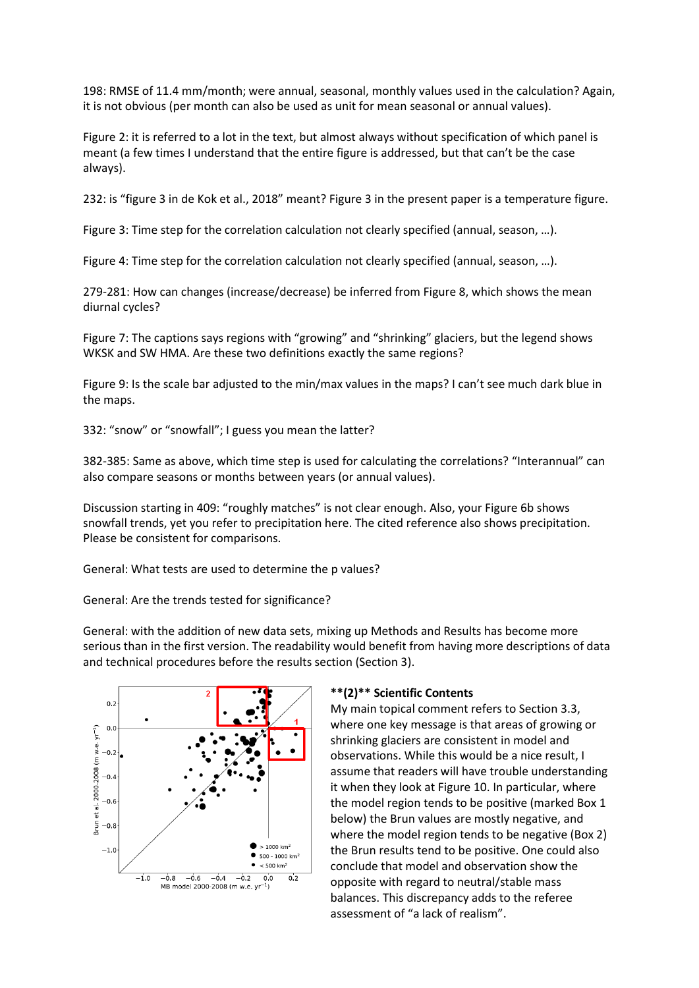198: RMSE of 11.4 mm/month; were annual, seasonal, monthly values used in the calculation? Again, it is not obvious (per month can also be used as unit for mean seasonal or annual values).

Figure 2: it is referred to a lot in the text, but almost always without specification of which panel is meant (a few times I understand that the entire figure is addressed, but that can't be the case always).

232: is "figure 3 in de Kok et al., 2018" meant? Figure 3 in the present paper is a temperature figure.

Figure 3: Time step for the correlation calculation not clearly specified (annual, season, …).

Figure 4: Time step for the correlation calculation not clearly specified (annual, season, …).

279-281: How can changes (increase/decrease) be inferred from Figure 8, which shows the mean diurnal cycles?

Figure 7: The captions says regions with "growing" and "shrinking" glaciers, but the legend shows WKSK and SW HMA. Are these two definitions exactly the same regions?

Figure 9: Is the scale bar adjusted to the min/max values in the maps? I can't see much dark blue in the maps.

332: "snow" or "snowfall"; I guess you mean the latter?

382-385: Same as above, which time step is used for calculating the correlations? "Interannual" can also compare seasons or months between years (or annual values).

Discussion starting in 409: "roughly matches" is not clear enough. Also, your Figure 6b shows snowfall trends, yet you refer to precipitation here. The cited reference also shows precipitation. Please be consistent for comparisons.

General: What tests are used to determine the p values?

General: Are the trends tested for significance?

General: with the addition of new data sets, mixing up Methods and Results has become more serious than in the first version. The readability would benefit from having more descriptions of data and technical procedures before the results section (Section 3).



#### **\*\*(2)\*\* Scientific Contents**

My main topical comment refers to Section 3.3, where one key message is that areas of growing or shrinking glaciers are consistent in model and observations. While this would be a nice result, I assume that readers will have trouble understanding it when they look at Figure 10. In particular, where the model region tends to be positive (marked Box 1 below) the Brun values are mostly negative, and where the model region tends to be negative (Box 2) the Brun results tend to be positive. One could also conclude that model and observation show the opposite with regard to neutral/stable mass balances. This discrepancy adds to the referee assessment of "a lack of realism".